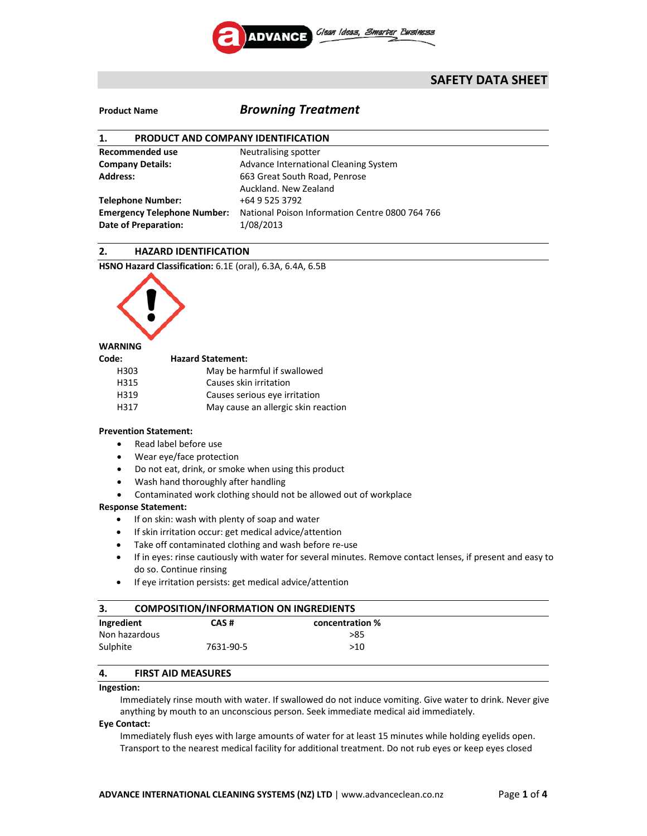

# **SAFETY DATA SHEET**

# **Product Name** *Browning Treatment*

| PRODUCT AND COMPANY IDENTIFICATION<br>1.                          |                                                              |
|-------------------------------------------------------------------|--------------------------------------------------------------|
| Recommended use                                                   | Neutralising spotter                                         |
| <b>Company Details:</b>                                           | Advance International Cleaning System                        |
| <b>Address:</b>                                                   | 663 Great South Road, Penrose                                |
|                                                                   | Auckland, New Zealand                                        |
| <b>Telephone Number:</b>                                          | +64 9 525 3792                                               |
| <b>Emergency Telephone Number:</b><br><b>Date of Preparation:</b> | National Poison Information Centre 0800 764 766<br>1/08/2013 |

# **2. HAZARD IDENTIFICATION**

**HSNO Hazard Classification:** 6.1E (oral), 6.3A, 6.4A, 6.5B



# **WARNING**

| Code: | <b>Hazard Statement:</b>            |
|-------|-------------------------------------|
| H303  | May be harmful if swallowed         |
| H315  | Causes skin irritation              |
| H319  | Causes serious eye irritation       |
| H317  | May cause an allergic skin reaction |

# **Prevention Statement:**

- Read label before use
- Wear eye/face protection
- Do not eat, drink, or smoke when using this product
- Wash hand thoroughly after handling
- Contaminated work clothing should not be allowed out of workplace

#### **Response Statement:**

- If on skin: wash with plenty of soap and water
- If skin irritation occur: get medical advice/attention
- Take off contaminated clothing and wash before re‐use
- If in eyes: rinse cautiously with water for several minutes. Remove contact lenses, if present and easy to do so. Continue rinsing
- If eye irritation persists: get medical advice/attention

| 3.            | <b>COMPOSITION/INFORMATION ON INGREDIENTS</b> |                 |  |
|---------------|-----------------------------------------------|-----------------|--|
| Ingredient    | CAS#                                          | concentration % |  |
| Non hazardous |                                               | >85             |  |
| Sulphite      | 7631-90-5                                     | >10             |  |

# **4. FIRST AID MEASURES**

#### **Ingestion:**

Immediately rinse mouth with water. If swallowed do not induce vomiting. Give water to drink. Never give anything by mouth to an unconscious person. Seek immediate medical aid immediately.

### **Eye Contact:**

Immediately flush eyes with large amounts of water for at least 15 minutes while holding eyelids open. Transport to the nearest medical facility for additional treatment. Do not rub eyes or keep eyes closed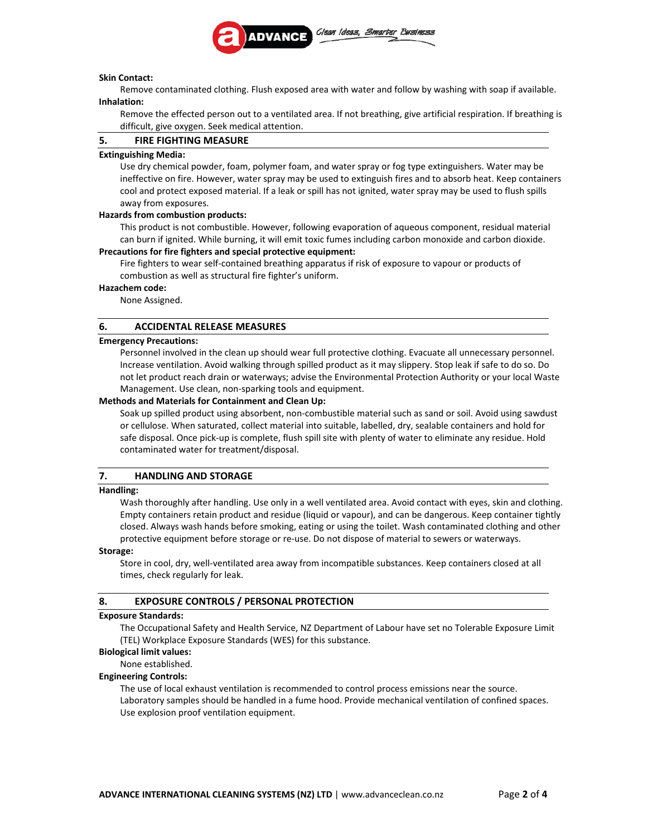

#### **Skin Contact:**

Remove contaminated clothing. Flush exposed area with water and follow by washing with soap if available. **Inhalation:**

Remove the effected person out to a ventilated area. If not breathing, give artificial respiration. If breathing is difficult, give oxygen. Seek medical attention.

# **5. FIRE FIGHTING MEASURE**

#### **Extinguishing Media:**

Use dry chemical powder, foam, polymer foam, and water spray or fog type extinguishers. Water may be ineffective on fire. However, water spray may be used to extinguish fires and to absorb heat. Keep containers cool and protect exposed material. If a leak or spill has not ignited, water spray may be used to flush spills away from exposures.

#### **Hazards from combustion products:**

This product is not combustible. However, following evaporation of aqueous component, residual material can burn if ignited. While burning, it will emit toxic fumes including carbon monoxide and carbon dioxide. **Precautions for fire fighters and special protective equipment:**

Fire fighters to wear self-contained breathing apparatus if risk of exposure to vapour or products of combustion as well as structural fire fighter's uniform.

#### **Hazachem code:**

None Assigned.

### **6. ACCIDENTAL RELEASE MEASURES**

#### **Emergency Precautions:**

Personnel involved in the clean up should wear full protective clothing. Evacuate all unnecessary personnel. Increase ventilation. Avoid walking through spilled product as it may slippery. Stop leak if safe to do so. Do not let product reach drain or waterways; advise the Environmental Protection Authority or your local Waste Management. Use clean, non‐sparking tools and equipment.

#### **Methods and Materials for Containment and Clean Up:**

Soak up spilled product using absorbent, non‐combustible material such as sand or soil. Avoid using sawdust or cellulose. When saturated, collect material into suitable, labelled, dry, sealable containers and hold for safe disposal. Once pick‐up is complete, flush spill site with plenty of water to eliminate any residue. Hold contaminated water for treatment/disposal.

# **7. HANDLING AND STORAGE**

#### **Handling:**

Wash thoroughly after handling. Use only in a well ventilated area. Avoid contact with eyes, skin and clothing. Empty containers retain product and residue (liquid or vapour), and can be dangerous. Keep container tightly closed. Always wash hands before smoking, eating or using the toilet. Wash contaminated clothing and other protective equipment before storage or re-use. Do not dispose of material to sewers or waterways.

#### **Storage:**

Store in cool, dry, well‐ventilated area away from incompatible substances. Keep containers closed at all times, check regularly for leak.

# **8. EXPOSURE CONTROLS / PERSONAL PROTECTION**

#### **Exposure Standards:**

The Occupational Safety and Health Service, NZ Department of Labour have set no Tolerable Exposure Limit (TEL) Workplace Exposure Standards (WES) for this substance.

#### **Biological limit values:**

None established.

#### **Engineering Controls:**

The use of local exhaust ventilation is recommended to control process emissions near the source. Laboratory samples should be handled in a fume hood. Provide mechanical ventilation of confined spaces. Use explosion proof ventilation equipment.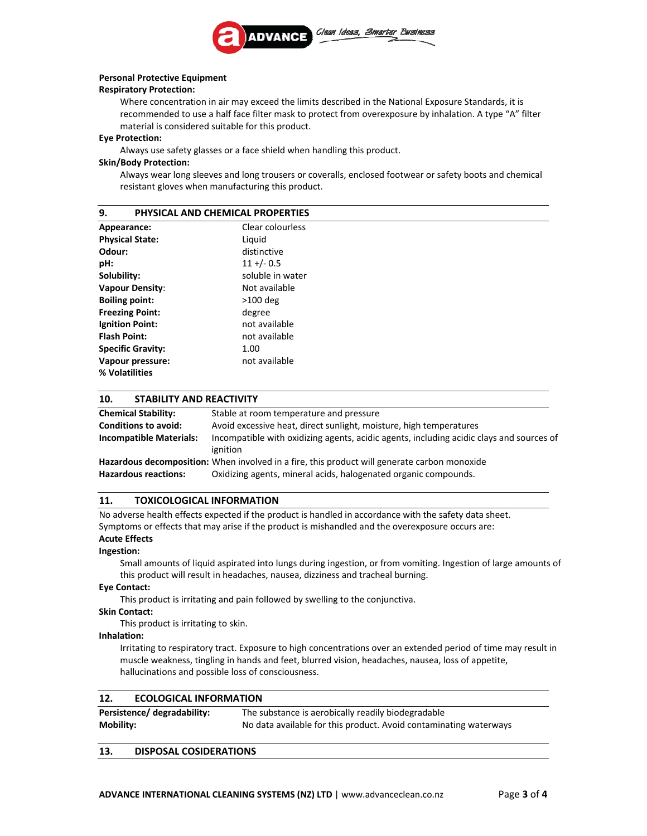

#### **Personal Protective Equipment**

#### **Respiratory Protection:**

Where concentration in air may exceed the limits described in the National Exposure Standards, it is recommended to use a half face filter mask to protect from overexposure by inhalation. A type "A" filter material is considered suitable for this product.

#### **Eye Protection:**

Always use safety glasses or a face shield when handling this product.

# **Skin/Body Protection:**

Always wear long sleeves and long trousers or coveralls, enclosed footwear or safety boots and chemical resistant gloves when manufacturing this product.

| 9.<br><b>PHYSICAL AND CHEMICAL PROPERTIES</b> |                  |
|-----------------------------------------------|------------------|
| Appearance:                                   | Clear colourless |
| <b>Physical State:</b>                        | Liguid           |
| Odour:                                        | distinctive      |
| pH:                                           | $11 + (-0.5)$    |
| Solubility:                                   | soluble in water |
| <b>Vapour Density:</b>                        | Not available    |
| <b>Boiling point:</b>                         | $>100$ deg       |
| <b>Freezing Point:</b>                        | degree           |
| <b>Ignition Point:</b>                        | not available    |
| <b>Flash Point:</b>                           | not available    |
| <b>Specific Gravity:</b>                      | 1.00             |
| Vapour pressure:<br>% Volatilities            | not available    |

## **10. STABILITY AND REACTIVITY**

| <b>Chemical Stability:</b>     | Stable at room temperature and pressure                                                              |
|--------------------------------|------------------------------------------------------------------------------------------------------|
| <b>Conditions to avoid:</b>    | Avoid excessive heat, direct sunlight, moisture, high temperatures                                   |
| <b>Incompatible Materials:</b> | Incompatible with oxidizing agents, acidic agents, including acidic clays and sources of<br>ignition |
|                                | <b>Hazardous decomposition:</b> When involved in a fire, this product will generate carbon monoxide  |
| <b>Hazardous reactions:</b>    | Oxidizing agents, mineral acids, halogenated organic compounds.                                      |

# **11. TOXICOLOGICAL INFORMATION**

No adverse health effects expected if the product is handled in accordance with the safety data sheet. Symptoms or effects that may arise if the product is mishandled and the overexposure occurs are:

# **Acute Effects**

**Ingestion:**

Small amounts of liquid aspirated into lungs during ingestion, or from vomiting. Ingestion of large amounts of this product will result in headaches, nausea, dizziness and tracheal burning.

#### **Eye Contact:**

This product is irritating and pain followed by swelling to the conjunctiva.

#### **Skin Contact:**

This product is irritating to skin.

#### **Inhalation:**

Irritating to respiratory tract. Exposure to high concentrations over an extended period of time may result in muscle weakness, tingling in hands and feet, blurred vision, headaches, nausea, loss of appetite, hallucinations and possible loss of consciousness.

| <b>ECOLOGICAL INFORMATION</b><br>12. |  |
|--------------------------------------|--|
|--------------------------------------|--|

| Persistence/ degradability: | The substance is aerobically readily biodegradable                |
|-----------------------------|-------------------------------------------------------------------|
| Mobility:                   | No data available for this product. Avoid contaminating waterways |

# **13. DISPOSAL COSIDERATIONS**